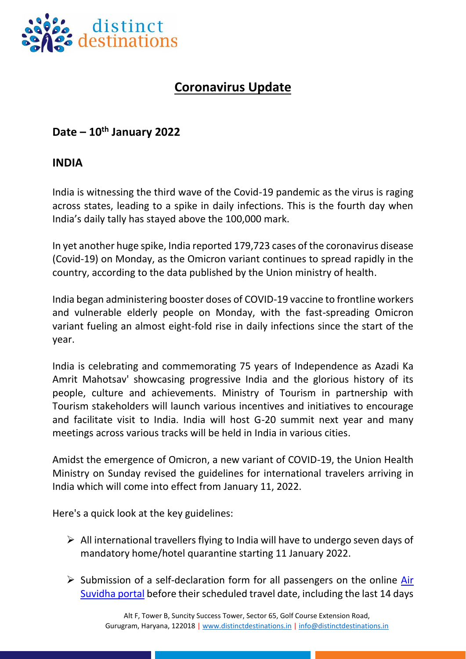

## **Coronavirus Update**

## **Date – 10th January 2022**

## **INDIA**

India is witnessing the third wave of the Covid-19 pandemic as the virus is raging across states, leading to a spike in daily infections. This is the fourth day when India's daily tally has stayed above the 100,000 mark.

In yet another huge spike, India reported 179,723 cases of the coronavirus disease (Covid-19) on Monday, as the Omicron variant continues to spread rapidly in the country, according to the data published by the Union ministry of health.

India began administering booster doses of COVID-19 vaccine to frontline workers and vulnerable elderly people on Monday, with the fast-spreading Omicron variant fueling an almost eight-fold rise in daily infections since the start of the year.

India is celebrating and commemorating 75 years of Independence as Azadi Ka Amrit Mahotsav' showcasing progressive India and the glorious history of its people, culture and achievements. Ministry of Tourism in partnership with Tourism stakeholders will launch various incentives and initiatives to encourage and facilitate visit to India. India will host G-20 summit next year and many meetings across various tracks will be held in India in various cities.

Amidst the emergence of Omicron, a new variant of COVID-19, the Union Health Ministry on Sunday revised the guidelines for international travelers arriving in India which will come into effect from January 11, 2022.

Here's a quick look at the key guidelines:

- $\triangleright$  All international travellers flying to India will have to undergo seven days of mandatory home/hotel quarantine starting 11 January 2022.
- $\triangleright$  Submission of a self-declaration form for all passengers on the online Air [Suvidha portal](https://www.newdelhiairport.in/airsuvidha/apho-registration) before their scheduled travel date, including the last 14 days